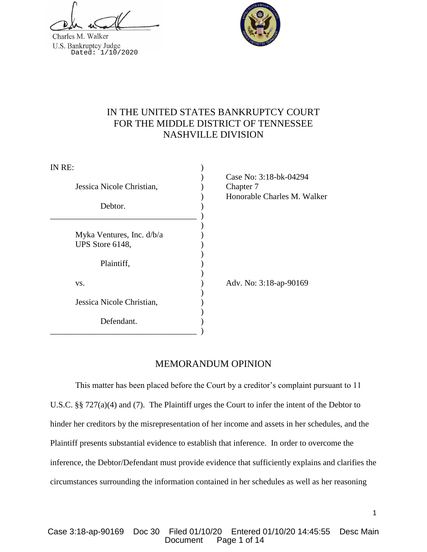Charles M. Walker U.S. Bankruptcy Judge<br>Dated: 1/10/2020



# IN THE UNITED STATES BANKRUPTCY COURT FOR THE MIDDLE DISTRICT OF TENNESSEE NASHVILLE DIVISION

| IN RE:                    |                                                                    |
|---------------------------|--------------------------------------------------------------------|
| Jessica Nicole Christian, | Case No: 3:18-bk-04294<br>Chapter 7<br>Honorable Charles M. Walker |
| Debtor.                   |                                                                    |
|                           |                                                                    |
| Myka Ventures, Inc. d/b/a |                                                                    |
| UPS Store 6148,           |                                                                    |
| Plaintiff,                |                                                                    |
| VS.                       | Adv. No: 3:18-ap-90169                                             |
| Jessica Nicole Christian, |                                                                    |
| Defendant.                |                                                                    |

## MEMORANDUM OPINION

This matter has been placed before the Court by a creditor's complaint pursuant to 11 U.S.C. §§ 727(a)(4) and (7). The Plaintiff urges the Court to infer the intent of the Debtor to hinder her creditors by the misrepresentation of her income and assets in her schedules, and the Plaintiff presents substantial evidence to establish that inference. In order to overcome the inference, the Debtor/Defendant must provide evidence that sufficiently explains and clarifies the circumstances surrounding the information contained in her schedules as well as her reasoning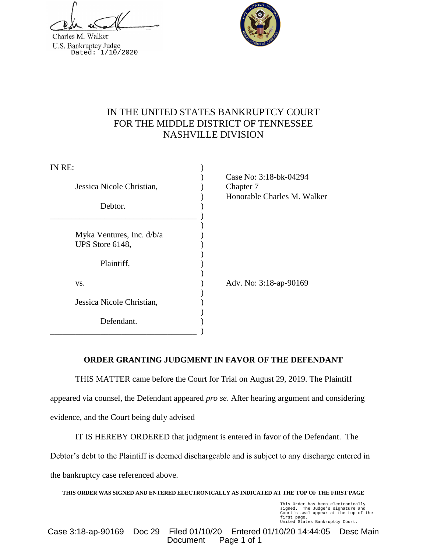Charles M. Walker U.S. Bankruptcy Judge<br>Dated: 1/10/2020



# IN THE UNITED STATES BANKRUPTCY COURT FOR THE MIDDLE DISTRICT OF TENNESSEE NASHVILLE DIVISION

| IN RE:                    |                                                                    |
|---------------------------|--------------------------------------------------------------------|
| Jessica Nicole Christian, | Case No: 3:18-bk-04294<br>Chapter 7<br>Honorable Charles M. Walker |
| Debtor.                   |                                                                    |
|                           |                                                                    |
| Myka Ventures, Inc. d/b/a |                                                                    |
| UPS Store 6148,           |                                                                    |
| Plaintiff,                |                                                                    |
| VS.                       | Adv. No: 3:18-ap-90169                                             |
| Jessica Nicole Christian, |                                                                    |
| Defendant.                |                                                                    |

## **ORDER GRANTING JUDGMENT IN FAVOR OF THE DEFENDANT**

THIS MATTER came before the Court for Trial on August 29, 2019. The Plaintiff appeared via counsel, the Defendant appeared *pro se*. After hearing argument and considering evidence, and the Court being duly advised

IT IS HEREBY ORDERED that judgment is entered in favor of the Defendant. The Debtor's debt to the Plaintiff is deemed dischargeable and is subject to any discharge entered in the bankruptcy case referenced above.

**THIS ORDER WAS SIGNED AND ENTERED ELECTRONICALLY AS INDICATED AT THE TOP OF THE FIRST PAGE**

This Order has been electronically signed. The Judge's signature and Court's seal appear at the top of the first page. United States Bankruptcy Court.

Case 3:18-ap-90169 Doc 29 Filed 01/10/20 Entered 01/10/20 14:44:05 Desc Main Document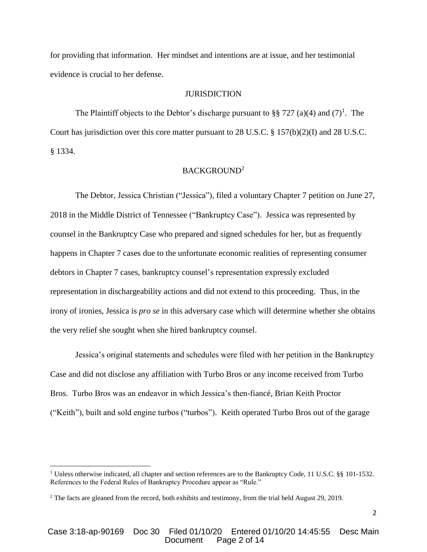for providing that information. Her mindset and intentions are at issue, and her testimonial evidence is crucial to her defense.

#### **JURISDICTION**

The Plaintiff objects to the Debtor's discharge pursuant to §§ 727 (a)(4) and  $(7)^1$ . The Court has jurisdiction over this core matter pursuant to 28 U.S.C. § 157(b)(2)(I) and 28 U.S.C. § 1334.

## BACKGROUND<sup>2</sup>

The Debtor, Jessica Christian ("Jessica"), filed a voluntary Chapter 7 petition on June 27, 2018 in the Middle District of Tennessee ("Bankruptcy Case"). Jessica was represented by counsel in the Bankruptcy Case who prepared and signed schedules for her, but as frequently happens in Chapter 7 cases due to the unfortunate economic realities of representing consumer debtors in Chapter 7 cases, bankruptcy counsel's representation expressly excluded representation in dischargeability actions and did not extend to this proceeding. Thus, in the irony of ironies, Jessica is *pro se* in this adversary case which will determine whether she obtains the very relief she sought when she hired bankruptcy counsel.

Jessica's original statements and schedules were filed with her petition in the Bankruptcy Case and did not disclose any affiliation with Turbo Bros or any income received from Turbo Bros. Turbo Bros was an endeavor in which Jessica's then-fiancé, Brian Keith Proctor ("Keith"), built and sold engine turbos ("turbos"). Keith operated Turbo Bros out of the garage

 $\overline{a}$ 

<sup>&</sup>lt;sup>1</sup> Unless otherwise indicated, all chapter and section references are to the Bankruptcy Code, 11 U.S.C. §§ 101-1532. References to the Federal Rules of Bankruptcy Procedure appear as "Rule."

<sup>&</sup>lt;sup>2</sup> The facts are gleaned from the record, both exhibits and testimony, from the trial held August 29, 2019.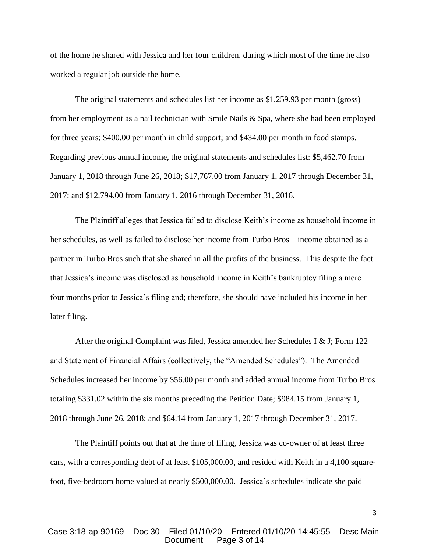of the home he shared with Jessica and her four children, during which most of the time he also worked a regular job outside the home.

The original statements and schedules list her income as \$1,259.93 per month (gross) from her employment as a nail technician with Smile Nails & Spa, where she had been employed for three years; \$400.00 per month in child support; and \$434.00 per month in food stamps. Regarding previous annual income, the original statements and schedules list: \$5,462.70 from January 1, 2018 through June 26, 2018; \$17,767.00 from January 1, 2017 through December 31, 2017; and \$12,794.00 from January 1, 2016 through December 31, 2016.

The Plaintiff alleges that Jessica failed to disclose Keith's income as household income in her schedules, as well as failed to disclose her income from Turbo Bros—income obtained as a partner in Turbo Bros such that she shared in all the profits of the business. This despite the fact that Jessica's income was disclosed as household income in Keith's bankruptcy filing a mere four months prior to Jessica's filing and; therefore, she should have included his income in her later filing.

After the original Complaint was filed, Jessica amended her Schedules I & J; Form 122 and Statement of Financial Affairs (collectively, the "Amended Schedules"). The Amended Schedules increased her income by \$56.00 per month and added annual income from Turbo Bros totaling \$331.02 within the six months preceding the Petition Date; \$984.15 from January 1, 2018 through June 26, 2018; and \$64.14 from January 1, 2017 through December 31, 2017.

The Plaintiff points out that at the time of filing, Jessica was co-owner of at least three cars, with a corresponding debt of at least \$105,000.00, and resided with Keith in a 4,100 squarefoot, five-bedroom home valued at nearly \$500,000.00. Jessica's schedules indicate she paid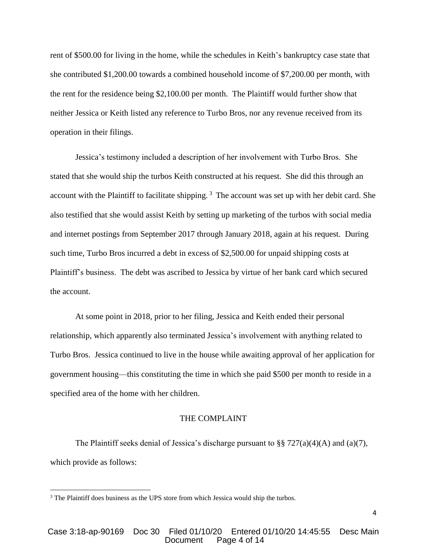rent of \$500.00 for living in the home, while the schedules in Keith's bankruptcy case state that she contributed \$1,200.00 towards a combined household income of \$7,200.00 per month, with the rent for the residence being \$2,100.00 per month. The Plaintiff would further show that neither Jessica or Keith listed any reference to Turbo Bros, nor any revenue received from its operation in their filings.

Jessica's testimony included a description of her involvement with Turbo Bros. She stated that she would ship the turbos Keith constructed at his request. She did this through an account with the Plaintiff to facilitate shipping.<sup>3</sup> The account was set up with her debit card. She also testified that she would assist Keith by setting up marketing of the turbos with social media and internet postings from September 2017 through January 2018, again at his request. During such time, Turbo Bros incurred a debt in excess of \$2,500.00 for unpaid shipping costs at Plaintiff's business. The debt was ascribed to Jessica by virtue of her bank card which secured the account.

At some point in 2018, prior to her filing, Jessica and Keith ended their personal relationship, which apparently also terminated Jessica's involvement with anything related to Turbo Bros. Jessica continued to live in the house while awaiting approval of her application for government housing—this constituting the time in which she paid \$500 per month to reside in a specified area of the home with her children.

#### THE COMPLAINT

The Plaintiff seeks denial of Jessica's discharge pursuant to §§ 727(a)(4)(A) and (a)(7), which provide as follows:

 $\overline{\phantom{a}}$ 

<sup>&</sup>lt;sup>3</sup> The Plaintiff does business as the UPS store from which Jessica would ship the turbos.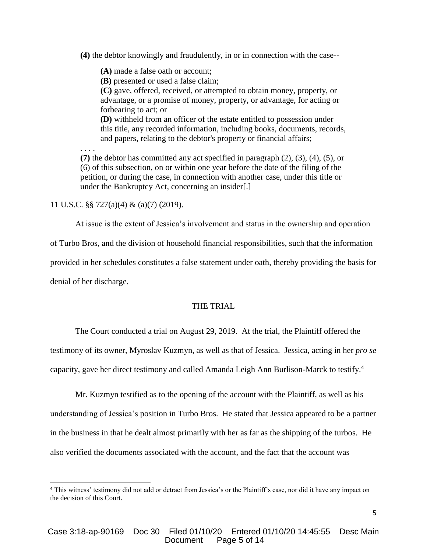**(4)** the debtor knowingly and fraudulently, in or in connection with the case--

**(A)** made a false oath or account;

**(B)** presented or used a false claim;

**(C)** gave, offered, received, or attempted to obtain money, property, or advantage, or a promise of money, property, or advantage, for acting or forbearing to act; or

**(D)** withheld from an officer of the estate entitled to possession under this title, any recorded information, including books, documents, records, and papers, relating to the debtor's property or financial affairs;

. . . .

**(7)** the debtor has committed any act specified in paragraph (2), (3), (4), (5), or (6) of this subsection, on or within one year before the date of the filing of the petition, or during the case, in connection with another case, under this title or under the Bankruptcy Act, concerning an insider[.]

11 U.S.C. §§ 727(a)(4) & (a)(7) (2019).

At issue is the extent of Jessica's involvement and status in the ownership and operation

of Turbo Bros, and the division of household financial responsibilities, such that the information

provided in her schedules constitutes a false statement under oath, thereby providing the basis for

denial of her discharge.

 $\overline{a}$ 

#### THE TRIAL

The Court conducted a trial on August 29, 2019. At the trial, the Plaintiff offered the testimony of its owner, Myroslav Kuzmyn, as well as that of Jessica. Jessica, acting in her *pro se* capacity, gave her direct testimony and called Amanda Leigh Ann Burlison-Marck to testify. 4

Mr. Kuzmyn testified as to the opening of the account with the Plaintiff, as well as his understanding of Jessica's position in Turbo Bros. He stated that Jessica appeared to be a partner in the business in that he dealt almost primarily with her as far as the shipping of the turbos. He also verified the documents associated with the account, and the fact that the account was

<sup>4</sup> This witness' testimony did not add or detract from Jessica's or the Plaintiff's case, nor did it have any impact on the decision of this Court.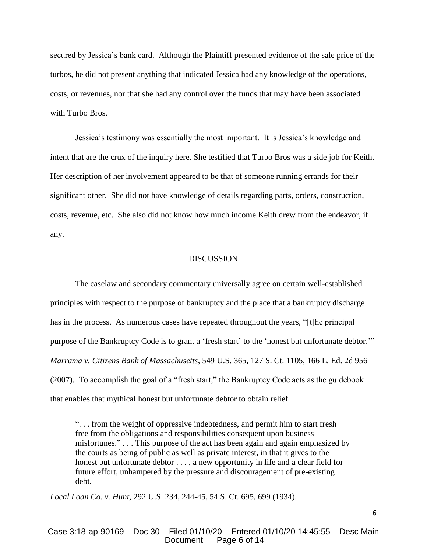secured by Jessica's bank card. Although the Plaintiff presented evidence of the sale price of the turbos, he did not present anything that indicated Jessica had any knowledge of the operations, costs, or revenues, nor that she had any control over the funds that may have been associated with Turbo Bros.

Jessica's testimony was essentially the most important. It is Jessica's knowledge and intent that are the crux of the inquiry here. She testified that Turbo Bros was a side job for Keith. Her description of her involvement appeared to be that of someone running errands for their significant other. She did not have knowledge of details regarding parts, orders, construction, costs, revenue, etc. She also did not know how much income Keith drew from the endeavor, if any.

#### **DISCUSSION**

The caselaw and secondary commentary universally agree on certain well-established principles with respect to the purpose of bankruptcy and the place that a bankruptcy discharge has in the process. As numerous cases have repeated throughout the years, "[t]he principal purpose of the Bankruptcy Code is to grant a 'fresh start' to the 'honest but unfortunate debtor.'" *Marrama v. Citizens Bank of Massachusetts*, 549 U.S. 365, 127 S. Ct. 1105, 166 L. Ed. 2d 956 (2007). To accomplish the goal of a "fresh start," the Bankruptcy Code acts as the guidebook that enables that mythical honest but unfortunate debtor to obtain relief

". . . from the weight of oppressive indebtedness, and permit him to start fresh free from the obligations and responsibilities consequent upon business misfortunes." . . . This purpose of the act has been again and again emphasized by the courts as being of public as well as private interest, in that it gives to the honest but unfortunate debtor . . . , a new opportunity in life and a clear field for future effort, unhampered by the pressure and discouragement of pre-existing debt*.*

*Local Loan Co. v. Hunt*, 292 U.S. 234, 244-45, 54 S. Ct. 695, 699 (1934).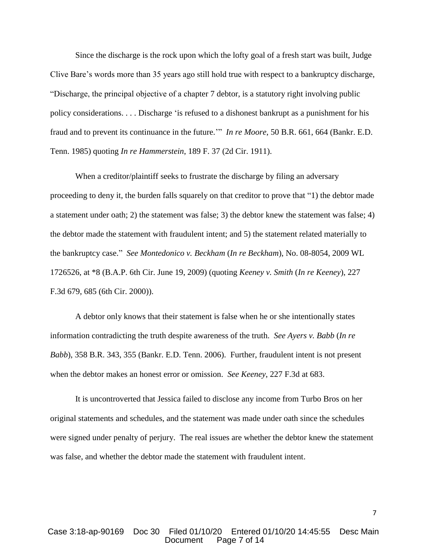Since the discharge is the rock upon which the lofty goal of a fresh start was built, Judge Clive Bare's words more than 35 years ago still hold true with respect to a bankruptcy discharge, "Discharge, the principal objective of a chapter 7 debtor, is a statutory right involving public policy considerations. . . . Discharge 'is refused to a dishonest bankrupt as a punishment for his fraud and to prevent its continuance in the future.'" *In re Moore*, 50 B.R. 661, 664 (Bankr. E.D. Tenn. 1985) quoting *In re Hammerstein*, 189 F. 37 (2d Cir. 1911).

When a creditor/plaintiff seeks to frustrate the discharge by filing an adversary proceeding to deny it, the burden falls squarely on that creditor to prove that "1) the debtor made a statement under oath; 2) the statement was false; 3) the debtor knew the statement was false; 4) the debtor made the statement with fraudulent intent; and 5) the statement related materially to the bankruptcy case." *See Montedonico v. Beckham* (*In re Beckham*), No. 08-8054, 2009 WL 1726526, at \*8 (B.A.P. 6th Cir. June 19, 2009) (quoting *Keeney v. Smith* (*In re Keeney*), 227 F.3d 679, 685 (6th Cir. 2000)).

A debtor only knows that their statement is false when he or she intentionally states information contradicting the truth despite awareness of the truth. *See Ayers v. Babb* (*In re Babb*), 358 B.R. 343, 355 (Bankr. E.D. Tenn. 2006). Further, fraudulent intent is not present when the debtor makes an honest error or omission. *See Keeney*, 227 F.3d at 683.

It is uncontroverted that Jessica failed to disclose any income from Turbo Bros on her original statements and schedules, and the statement was made under oath since the schedules were signed under penalty of perjury. The real issues are whether the debtor knew the statement was false, and whether the debtor made the statement with fraudulent intent.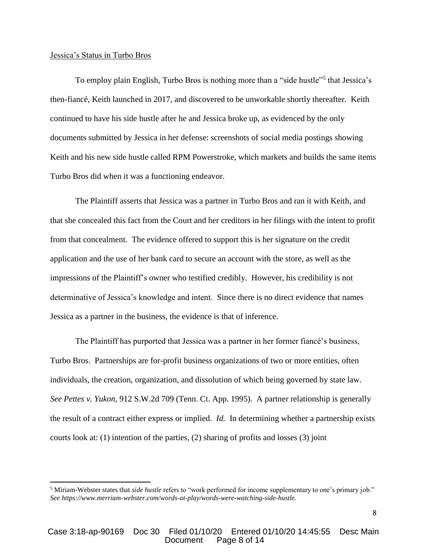#### Jessica's Status in Turbo Bros

 $\overline{a}$ 

To employ plain English, Turbo Bros is nothing more than a "side hustle"<sup>5</sup> that Jessica's then-fiancé, Keith launched in 2017, and discovered to be unworkable shortly thereafter. Keith continued to have his side hustle after he and Jessica broke up, as evidenced by the only documents submitted by Jessica in her defense: screenshots of social media postings showing Keith and his new side hustle called RPM Powerstroke, which markets and builds the same items Turbo Bros did when it was a functioning endeavor.

The Plaintiff asserts that Jessica was a partner in Turbo Bros and ran it with Keith, and that she concealed this fact from the Court and her creditors in her filings with the intent to profit from that concealment. The evidence offered to support this is her signature on the credit application and the use of her bank card to secure an account with the store, as well as the impressions of the Plaintiff's owner who testified credibly. However, his credibility is not determinative of Jessica's knowledge and intent. Since there is no direct evidence that names Jessica as a partner in the business, the evidence is that of inference.

The Plaintiff has purported that Jessica was a partner in her former fiancé's business, Turbo Bros. Partnerships are for-profit business organizations of two or more entities, often individuals, the creation, organization, and dissolution of which being governed by state law. *See Pettes v. Yukon*, 912 S.W.2d 709 (Tenn. Ct. App. 1995). A partner relationship is generally the result of a contract either express or implied. *Id.* In determining whether a partnership exists courts look at: (1) intention of the parties, (2) sharing of profits and losses (3) joint

<sup>5</sup> Miriam-Webster states that *side hustle* refers to "work performed for income supplementary to one's primary job." *See https://www.merriam-webster.com/words-at-play/words-were-watching-side-hustle.*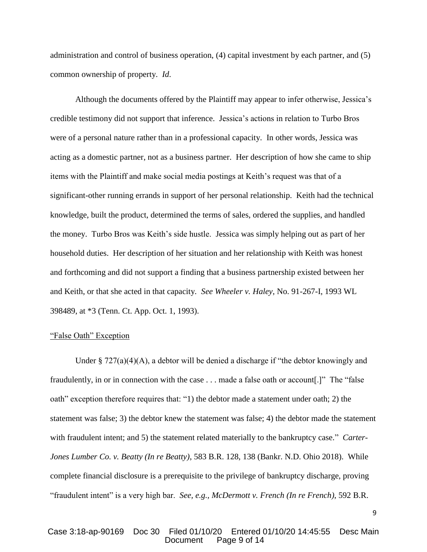administration and control of business operation, (4) capital investment by each partner, and (5) common ownership of property. *Id*.

Although the documents offered by the Plaintiff may appear to infer otherwise, Jessica's credible testimony did not support that inference. Jessica's actions in relation to Turbo Bros were of a personal nature rather than in a professional capacity. In other words, Jessica was acting as a domestic partner, not as a business partner. Her description of how she came to ship items with the Plaintiff and make social media postings at Keith's request was that of a significant-other running errands in support of her personal relationship. Keith had the technical knowledge, built the product, determined the terms of sales, ordered the supplies, and handled the money. Turbo Bros was Keith's side hustle. Jessica was simply helping out as part of her household duties. Her description of her situation and her relationship with Keith was honest and forthcoming and did not support a finding that a business partnership existed between her and Keith, or that she acted in that capacity*. See Wheeler v. Haley*, No. 91-267-I, 1993 WL 398489, at \*3 (Tenn. Ct. App. Oct. 1, 1993).

#### "False Oath" Exception

Under §  $727(a)(4)(A)$ , a debtor will be denied a discharge if "the debtor knowingly and fraudulently, in or in connection with the case . . . made a false oath or account[.]" The "false oath" exception therefore requires that: "1) the debtor made a statement under oath; 2) the statement was false; 3) the debtor knew the statement was false; 4) the debtor made the statement with fraudulent intent; and 5) the statement related materially to the bankruptcy case." *Carter-Jones Lumber Co. v. Beatty (In re Beatty)*, 583 B.R. 128, 138 (Bankr. N.D. Ohio 2018). While complete financial disclosure is a prerequisite to the privilege of bankruptcy discharge, proving "fraudulent intent" is a very high bar. *See, e.g., McDermott v. French (In re French)*, 592 B.R.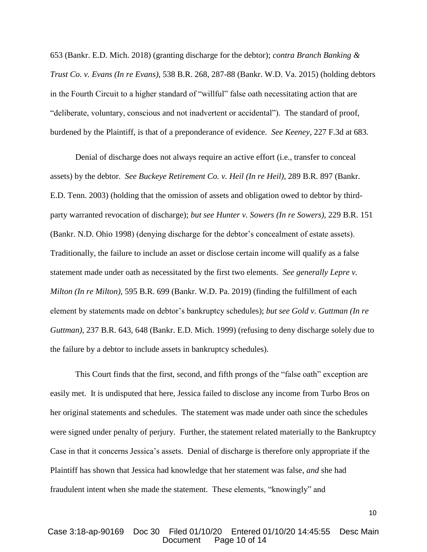653 (Bankr. E.D. Mich. 2018) (granting discharge for the debtor); *contra Branch Banking & Trust Co. v. Evans (In re Evans)*, 538 B.R. 268, 287-88 (Bankr. W.D. Va. 2015) (holding debtors in the Fourth Circuit to a higher standard of "willful" false oath necessitating action that are "deliberate, voluntary, conscious and not inadvertent or accidental"). The standard of proof, burdened by the Plaintiff, is that of a preponderance of evidence. *See Keeney*, 227 F.3d at 683.

Denial of discharge does not always require an active effort (i.e., transfer to conceal assets) by the debtor. *See Buckeye Retirement Co. v. Heil (In re Heil)*, 289 B.R. 897 (Bankr. E.D. Tenn. 2003) (holding that the omission of assets and obligation owed to debtor by thirdparty warranted revocation of discharge); *but see Hunter v. Sowers (In re Sowers)*, 229 B.R. 151 (Bankr. N.D. Ohio 1998) (denying discharge for the debtor's concealment of estate assets). Traditionally, the failure to include an asset or disclose certain income will qualify as a false statement made under oath as necessitated by the first two elements. *See generally Lepre v. Milton (In re Milton)*, 595 B.R. 699 (Bankr. W.D. Pa. 2019) (finding the fulfillment of each element by statements made on debtor's bankruptcy schedules); *but see Gold v. Guttman (In re Guttman)*, 237 B.R. 643, 648 (Bankr. E.D. Mich. 1999) (refusing to deny discharge solely due to the failure by a debtor to include assets in bankruptcy schedules).

This Court finds that the first, second, and fifth prongs of the "false oath" exception are easily met. It is undisputed that here, Jessica failed to disclose any income from Turbo Bros on her original statements and schedules. The statement was made under oath since the schedules were signed under penalty of perjury. Further, the statement related materially to the Bankruptcy Case in that it concerns Jessica's assets. Denial of discharge is therefore only appropriate if the Plaintiff has shown that Jessica had knowledge that her statement was false, *and* she had fraudulent intent when she made the statement. These elements, "knowingly" and

## Case 3:18-ap-90169 Doc 30 Filed 01/10/20 Entered 01/10/20 14:45:55 Desc Main Page 10 of 14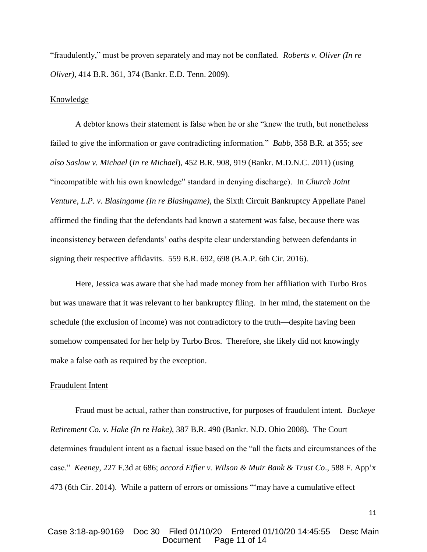"fraudulently," must be proven separately and may not be conflated. *Roberts v. Oliver (In re Oliver)*, 414 B.R. 361, 374 (Bankr. E.D. Tenn. 2009).

#### Knowledge

A debtor knows their statement is false when he or she "knew the truth, but nonetheless failed to give the information or gave contradicting information." *Babb*, 358 B.R. at 355; *see also Saslow v. Michael* (*In re Michael*), 452 B.R. 908, 919 (Bankr. M.D.N.C. 2011) (using "incompatible with his own knowledge" standard in denying discharge). In *Church Joint Venture, L.P. v. Blasingame (In re Blasingame)*, the Sixth Circuit Bankruptcy Appellate Panel affirmed the finding that the defendants had known a statement was false, because there was inconsistency between defendants' oaths despite clear understanding between defendants in signing their respective affidavits. 559 B.R. 692, 698 (B.A.P. 6th Cir. 2016).

Here, Jessica was aware that she had made money from her affiliation with Turbo Bros but was unaware that it was relevant to her bankruptcy filing. In her mind, the statement on the schedule (the exclusion of income) was not contradictory to the truth—despite having been somehow compensated for her help by Turbo Bros. Therefore, she likely did not knowingly make a false oath as required by the exception.

### Fraudulent Intent

Fraud must be actual, rather than constructive, for purposes of fraudulent intent. *Buckeye Retirement Co. v. Hake (In re Hake)*, 387 B.R. 490 (Bankr. N.D. Ohio 2008). The Court determines fraudulent intent as a factual issue based on the "all the facts and circumstances of the case." *Keeney*, 227 F.3d at 686; *accord Eifler v. Wilson & Muir Bank & Trust Co*., 588 F. App'x 473 (6th Cir. 2014). While a pattern of errors or omissions "'may have a cumulative effect

## Case 3:18-ap-90169 Doc 30 Filed 01/10/20 Entered 01/10/20 14:45:55 Desc Main Page 11 of 14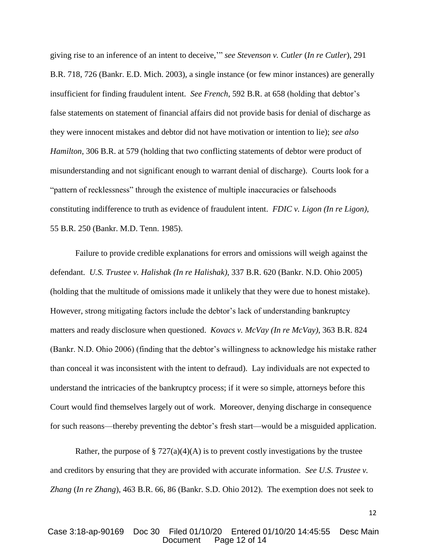giving rise to an inference of an intent to deceive,'" *see Stevenson v. Cutler* (*In re Cutler*), 291 B.R. 718, 726 (Bankr. E.D. Mich. 2003), a single instance (or few minor instances) are generally insufficient for finding fraudulent intent. *See French*, 592 B.R. at 658 (holding that debtor's false statements on statement of financial affairs did not provide basis for denial of discharge as they were innocent mistakes and debtor did not have motivation or intention to lie); *see also Hamilton*, 306 B.R. at 579 (holding that two conflicting statements of debtor were product of misunderstanding and not significant enough to warrant denial of discharge). Courts look for a "pattern of recklessness" through the existence of multiple inaccuracies or falsehoods constituting indifference to truth as evidence of fraudulent intent. *FDIC v. Ligon (In re Ligon)*, 55 B.R. 250 (Bankr. M.D. Tenn. 1985).

Failure to provide credible explanations for errors and omissions will weigh against the defendant. *U.S. Trustee v. Halishak (In re Halishak)*, 337 B.R. 620 (Bankr. N.D. Ohio 2005) (holding that the multitude of omissions made it unlikely that they were due to honest mistake). However, strong mitigating factors include the debtor's lack of understanding bankruptcy matters and ready disclosure when questioned. *Kovacs v. McVay (In re McVay)*, 363 B.R. 824 (Bankr. N.D. Ohio 2006) (finding that the debtor's willingness to acknowledge his mistake rather than conceal it was inconsistent with the intent to defraud). Lay individuals are not expected to understand the intricacies of the bankruptcy process; if it were so simple, attorneys before this Court would find themselves largely out of work. Moreover, denying discharge in consequence for such reasons—thereby preventing the debtor's fresh start—would be a misguided application.

Rather, the purpose of § 727(a)(4)(A) is to prevent costly investigations by the trustee and creditors by ensuring that they are provided with accurate information. *See U.S. Trustee v. Zhang* (*In re Zhang*), 463 B.R. 66, 86 (Bankr. S.D. Ohio 2012). The exemption does not seek to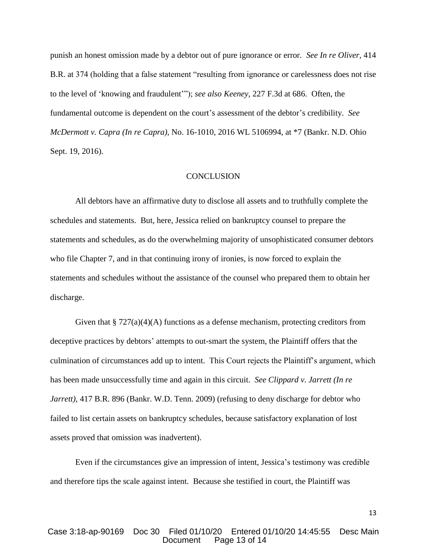punish an honest omission made by a debtor out of pure ignorance or error. *See In re Oliver*, 414 B.R. at 374 (holding that a false statement "resulting from ignorance or carelessness does not rise to the level of 'knowing and fraudulent'"); *see also Keeney*, 227 F.3d at 686. Often, the fundamental outcome is dependent on the court's assessment of the debtor's credibility. *See McDermott v. Capra (In re Capra)*, No. 16-1010, 2016 WL 5106994, at \*7 (Bankr. N.D. Ohio Sept. 19, 2016).

### **CONCLUSION**

All debtors have an affirmative duty to disclose all assets and to truthfully complete the schedules and statements. But, here, Jessica relied on bankruptcy counsel to prepare the statements and schedules, as do the overwhelming majority of unsophisticated consumer debtors who file Chapter 7, and in that continuing irony of ironies, is now forced to explain the statements and schedules without the assistance of the counsel who prepared them to obtain her discharge.

Given that  $\S 727(a)(4)(A)$  functions as a defense mechanism, protecting creditors from deceptive practices by debtors' attempts to out-smart the system, the Plaintiff offers that the culmination of circumstances add up to intent. This Court rejects the Plaintiff's argument, which has been made unsuccessfully time and again in this circuit. *See Clippard v. Jarrett (In re Jarrett)*, 417 B.R. 896 (Bankr. W.D. Tenn. 2009) (refusing to deny discharge for debtor who failed to list certain assets on bankruptcy schedules, because satisfactory explanation of lost assets proved that omission was inadvertent).

Even if the circumstances give an impression of intent, Jessica's testimony was credible and therefore tips the scale against intent. Because she testified in court, the Plaintiff was